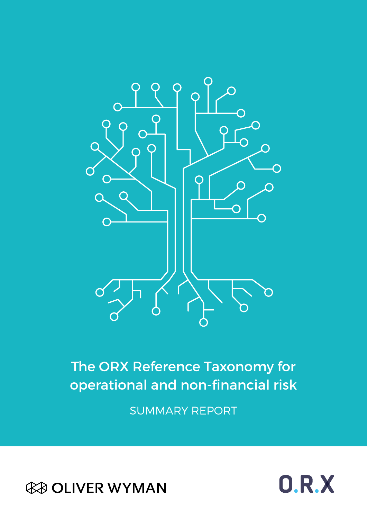

## The ORX Reference Taxonomy for operational and non-financial risk

SUMMARY REPORT



 $0.R.X$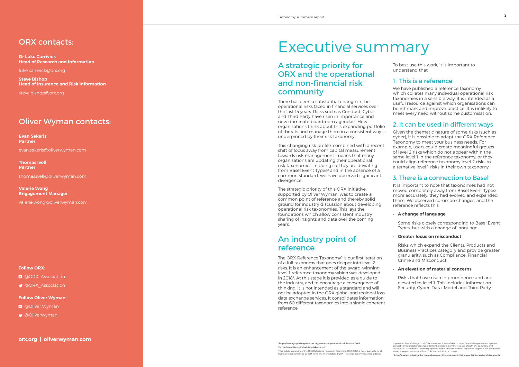### ORX contacts:

Dr Luke Carrivick Head of Research and Information

luke.carrivick@orx.org

Steve Bishop Head of Insurance and Risk Information

steve.bishop@orx.org

## Oliver Wyman contacts:

Evan Sekeris Partner

- **In** @Oliver Wyman
- [@OliverWyman](https://twitter.com/OliverWyman)

evan.sekeris@oliverwyman.com

Thomas Ivell Partner

thomas.ivell@oliverwyman.com

Valerie Wong Engagement Manager

valerie.wong@oliverwyman.com

#### Follow ORX:

- **m** @ORX Association
- **W** @ORX Association

#### Follow Oliver Wyman:

This changing risk profile, combined with a recent shift of focus away from capital measurement towards risk management, means that many organisations are updating their operational risk taxonomies. In doing so, they are deviating from Basel Event Types<sup>2</sup> and in the absence of a common standard, we have observed significant divergence.

## Executive summary

## A strategic priority for ORX and the operational and non-financial risk community

There has been a substantial change in the operational risks faced in financial services over the last 15 years. Risks such as Conduct, Cyber and Third Party have risen in importance and now dominate boardroom agendas<sup>1</sup>. How organisations think about this expanding portfolio of threats and manage them in a consistent way is underpinned by their risk taxonomy.

The ORX Reference Taxonomy<sup>3</sup> is our first iteration of a full taxonomy that goes deeper into level 2 risks. It is an enhancement of the [award-winning](https://managingrisktogether.orx.org/news-and-blogs/orx-wins-initiative-year-2019-operational-risk-awards)  [level 1 reference taxonomy](https://managingrisktogether.orx.org/news-and-blogs/orx-wins-initiative-year-2019-operational-risk-awards) which was developed in 2018<sup>4</sup>. At this stage it is provided as a guide to the industry, and to encourage a convergence of thinking; it is not intended as a standard and will not be adopted in the ORX global and regional loss data exchange services. It consolidates information from 60 different taxonomies into a single coherent reference.

The strategic priority of this ORX initiative, supported by Oliver Wyman, was to create a common point of reference and thereby solid ground for industry discussion about developing operational risk taxonomies. This lays the foundations which allow consistent industry sharing of insights and data over the coming years.

## An industry point of reference

To best use this work, it is important to understand that:

### 1. This is a reference

We have published a reference taxonomy which collates many individual operational risk taxonomies in a sensible way. It is intended as a useful resource against which organisations can benchmark and improve practice. It is unlikely to meet every need without some customisation.

### 2. It can be used in different ways

Given the thematic nature of some risks (such as cyber), it is possible to adapt the ORX Reference Taxonomy to meet your business needs. For example, users could create meaningful groups of level 2 risks which do not appear within the same level 1 in the reference taxonomy, or they could align reference taxonomy level 2 risks to alternative level 1 risks in their own taxonomy.

### 3. There is a connection to Basel

It is important to note that taxonomies had not moved completely away from Basel Event Types; more accurately, they had evolved and expanded them. We observed common changes, and the reference reflects this:

#### • A change of language

Some risks closely corresponding to Basel Event Types, but with a change of language.

#### • Greater focus on misconduct

Risks which expand the Clients, Products and Business Practices category and provide greater granularity, such as Compliance, Financial Crime and Misconduct.

#### • An elevation of material concerns

Risks that have risen in prominence and are elevated to level 1. This includes Information Security, Cyber, Data, Model and Third Party.

is provided free of charge to all ORX members. It is available to other financial organisations - please<br>contact communications@orx.org for further details. Commercial use of both the summary and<br>detailed ORX Reference Tax

� <https://managingrisktogether.orx.org/research/operational-risk-horizon-2019> � <https://www.bis.org/bcbs/qisoprisknote.pdf> � The public summary of the ORX Reference Taxonomy (copyright ORX 2019) is freely available for all financial organisations to benefit from. The more detailed ORX Reference Taxonomy and guidance

� <https://managingrisktogether.orx.org/news-and-blogs/orx-wins-initiative-year-2019-operational-risk-awards>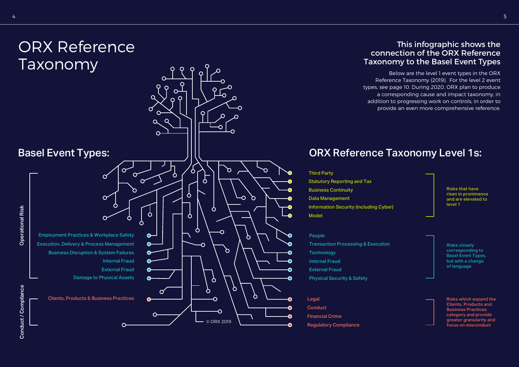

- Third Party Statutory Reporting and Tax Business Continuity Data Management Information Security (including Cyber)
- People
- Transaction Processing & Execution
- **Technology**
- Internal Fraud
- External Fraud
- Physical Security & Safety
- **Conduct**
- Financial Crime
- Regulatory Compliance

## This infographic shows the connection of the ORX Reference Taxonomy to the Basel Event Types



Below are the level 1 event types in the ORX Reference Taxonomy (2019). For the level 2 event types, see page 10. During 2020, ORX plan to produce a corresponding cause and impact taxonomy, in addition to progressing work on controls, in order to provide an even more comprehensive reference.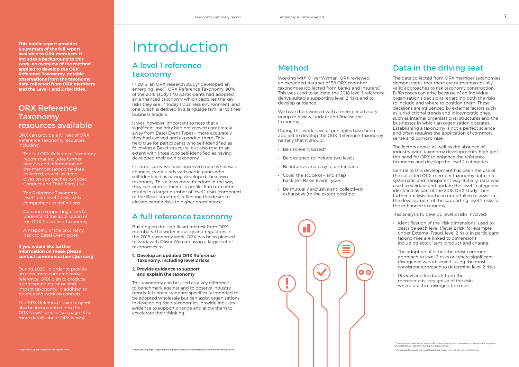# Introduction

## A level 1 reference taxonomy

In 2018, an ORX research study<sup>6</sup> developed an emerging level 1 ORX Reference Taxonomy. 90% of the 2018 study's 40 participants had adopted an enhanced taxonomy which captures the key risks they see in today's business environment, and one which is defined in a language familiar to their business leaders.

It was, however, important to note that a significant majority had not moved completely away from Basel Event Types – more accurately they had evolved and expanded them. This held true for participants who self-identified as following a Basel structure, but also true to an extent with those who self-identified as having developed their own taxonomy.

In some cases, we have observed more wholesale changes, particularly with participants who self-identified as having developed their own taxonomy. This allows more freedom in the way they can express their risk profile. It in turn often results in a larger number of level 1 risks (compared to the Basel structure), reflecting the desire to elevate certain risks to higher prominence.

## A full reference taxonomy

- $\cdot$  Be risk event based<sup>8</sup>
- Be designed to include two levels
- Be intuitive and easy to understand
- Cover the scope of and map back to – Basel Event Types
- Be mutually exclusive and collectively exhaustive (to the extent possible)



Building on the significant interest from ORX members, the wider industry and regulators in the 2018 taxonomy work, ORX has been pleased to work with Oliver Wyman using a larger set of taxonomies to:

#### 1. Develop an updated ORX Reference Taxonomy, including level 2 risks

2. Provide guidance to support and explain the taxonomy

This taxonomy can be used as a key reference to benchmark against and to observe industry trends. It is not a standard specifically intended to be adopted wholesale but can assist organisations in developing their taxonomies, provide industry evidence to support change and allow them to accelerate their thinking.

### Method

Working with Oliver Wyman, ORX reviewed an expanded data set of 58 ORX member taxonomies (collected from banks and insurers).<sup>7</sup> This was used to validate the 2018 level 1 reference, derive suitable supporting level 2 risks and to develop guidance.

We have then worked with a member advisory group to review, update and finalise the taxonomy.

During this work, several principles have been applied to develop the ORX Reference Taxonomy, namely that it should:

### Data in the driving seat

The data collected from ORX member taxonomies demonstrates that there are numerous equally valid approaches to risk taxonomy construction. Differences can arise because of an individual organisation's decisions regarding both the risks to include and where to position them. These decisions are influenced by external factors such as jurisdictional trends and idiosyncratic ones, such as internal organisational structures and the businesses in which an organisation operates. Establishing a taxonomy is not a perfect science and often requires the application of common sense and compromise.

The factors above, as well as the absence of industry-wide taxonomy developments, highlight the need for ORX to enhance the reference taxonomy and develop the level 2 categories.

Central to this development has been the use of the collected ORX member taxonomy data in a systematic and transparent way. Initially, data was used to validate and update the level 1 categories identified as part of the 2018 ORX study, then further analysis has been undertaken to assist in the development of the supporting level 2 risks for the enhanced taxonomy.

This analysis to develop level 2 risks involved:

- Identification of the "risk dimensions" used to describe each level 1/level 2 risk; for example, under External Fraud, level 2 risks in participant taxonomies are linked to dimensions including actor, item, product and channel
- The adoption of either the most common approach to level 2 risks or, where significant divergence was observed, using the most consistent approach to determine level 2 risks
- Review and feedback from the member advisory group of the risks where practice diverged the most

� Two member taxonomies were added subsequently which were used to validate the proposed ORX Reference Taxonomy, taking the dataset to 60.

� As opposed to cause or impact based; see page 14 on the bow tie methodology

This public report provides a summary of the full report available to ORX members. It includes a background to this work, an overview of the method applied to develop the ORX Reference Taxonomy, notable observations from the taxonomy data collected from ORX members and the Level 1 and 2 risk titles.

## ORX Reference Taxonomy resources available

ORX can provide a full set of ORX Reference Taxonomy resources, including:

- The full ORX Reference Taxonomy report that includes further analysis and information on the member taxonomy data collected, as well as deep dives on approaches to Cyber, Conduct and Third Party risk
- **The Reference Taxonomy** level 1 and level 2 risks with comprehensive definitions
- Guidance supporting users to understand the application of the ORX Reference Taxonomy
- A mapping of the taxonomy back to Basel Event types

#### If you would like further information on these, please contact communications@orx.org

During 2020, in order to provide an even more comprehensive reference, ORX plan to produce a corresponding cause and impact taxonomy, in addition to progressing work on controls.

The ORX Reference Taxonomy will also be incorporated into the ORX News<sup>5</sup> service (see page 13 for more details about ORX News).

� <https://managingrisktogether.orx.org/orx-news>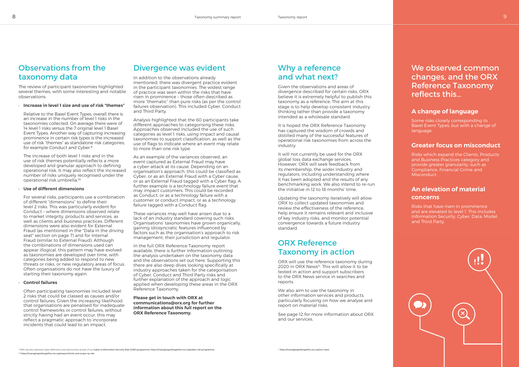## Observations from the taxonomy data

Relative to the Basel Event Types, overall there is an increase in the number of level 1 risks in the taxonomies collected. On average there were of 14 level 1 risks versus the 7 original level 1 Basel Event Types. Another way of capturing increasing prominence in certain risk types is the increased use of risk "themes" as standalone risk categories, for example Conduct and Cyber.<sup>9</sup>

The review of participant taxonomies highlighted several themes, with some interesting and notable observations:

• Increase in level 1 size and use of risk "themes"

The increase of both level 1 risks and in the use of risk themes potentially reflects a more developed and granular approach to defining operational risk. It may also reflect the increased number of risks uniquely recognised under the operational risk umbrella.<sup>10</sup>

#### • Use of different dimensions

For several risks, participants use a combination of different "dimensions" to define their level 2 risks. This was particularly evident for Conduct – where dimensions observed relate to market integrity, products and services, as well as clients and business practices. Different dimensions were also evident for External Fraud (as mentioned in the "Data in the driving seat" section on page 7) and for Internal Fraud (similar to External Fraud). Although the combinations of dimensions used can appear illogical, this pattern may have evolved as taxonomies are developed over time, with categories being added to respond to new threats or risks, or new regulatory areas of focus. Often organisations do not have the luxury of starting their taxonomy again.

#### • Control failures

Often participating taxonomies included level 2 risks that could be classed as causes and/or control failures. Given the increasing likelihood that organisations are penalised for inadequate control frameworks or control failures, without strictly having had an event occur, this may reflect a pragmatic approach to incorporate incidents that could lead to an impact.

### Divergence was evident

In addition to the observations already mentioned, there was divergent practice evident in the participant taxonomies. The widest range of practice was seen within the risks that have risen in prominence – those often described as more "thematic" than pure risks (as per the control failures observation). This included Cyber, Conduct and Third Party.

Analysis highlighted that the 60 participants take different approaches to categorising these risks. Approaches observed included the use of such categories as level 1 risks, using impact and causal taxonomies to support classification, as well as the use of flags to indicate where an event may relate to more than one risk type.

As an example of the variances observed, an event captured as External Fraud may have a cyber-attack at its cause. Depending on an organisation's approach, this could be classified as Cyber, or as an External Fraud with a Cyber cause, or as an External Fraud tagged with a Cyber flag. A further example is a technology failure event that may impact customers. This could be recorded as Conduct, or as a technology failure with a customer or conduct impact, or as a technology failure tagged with a Conduct flag.

These variances may well have arisen due to a lack of an industry standard covering such risks. Organisations' taxonomies have grown organically, gaining idiosyncratic features influenced by factors such as the organisation's approach to risk management, their jurisdiction and regulator.

In the full ORX Reference Taxonomy report available, there is further information outlining the analysis undertaken on the taxonomy data and the observations set out here. Supporting this there are also deep dives looking specifically at industry approaches taken for the categorisation of Cyber, Conduct and Third Party risks and further explanation of the approach and logic applied when developing these areas in the ORX Reference Taxonomy.

Please get in touch with ORX at communications@orx.org for further information about this full report on the ORX Reference Taxonomy.

## Why a reference and what next?

Given the observations and areas of divergence described for certain risks, ORX believe it is extremely helpful to publish this taxonomy as a reference. The aim at this stage is to help develop consistent industry thinking rather than provide a taxonomy intended as a wholesale standard.

It is hoped the ORX Reference Taxonomy has captured the wisdom of crowds and distilled many of the successful features of operational risk taxonomies from across the industry.

It will not currently be used for the ORX global loss data exchange services. However, ORX will seek feedback from its membership, the wider industry and regulators, including understanding where it has been adopted and the results of any benchmarking work. We also intend to re-run the initiative in 12 to 18 months' time.

Updating the taxonomy iteratively will allow ORX to collect updated taxonomies and review the effectiveness of the reference, help ensure it remains relevant and inclusive of key industry risks, and monitor potential convergence towards a future industry standard.

### ORX Reference Taxonomy in action

ORX will use the reference taxonomy during 2020 in [ORX News](https://managingrisktogether.orx.org/orx-news)<sup>11</sup>. This will allow it to be tested in action and support subscribers to the ORX News service in searches and reports.

We also aim to use the taxonomy in other information services and products, particularly focusing on how we analyse and report on material risks.

See page 12 for more information about ORX and our services.

## We observed common changes, and the ORX Reference Taxonomy reflects this…

#### A change of language

Some risks closely corresponding to Basel Event Types, but with a change of language.

#### Greater focus on misconduct

Risks which expand the Clients, Products and Business Practices category and provide greater granularity, such as Compliance, Financial Crime and Misconduct.

#### An elevation of material concerns

Risks that have risen in prominence and are elevated to level 1. This includes Information Security, Cyber, Data, Model and Third Party.

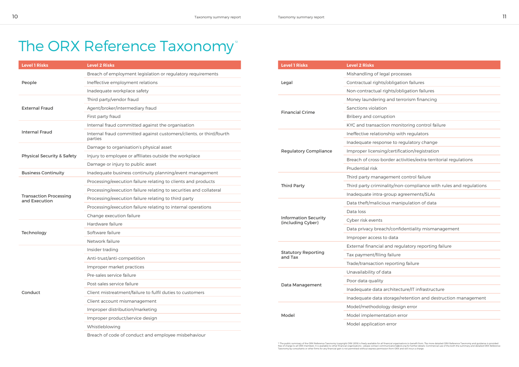## The ORX Reference Taxonomy<sup>®</sup>

| <b>Level 1 Risks</b>                           | <b>Level 2 Risks</b>                                                           |  |  |  |  |
|------------------------------------------------|--------------------------------------------------------------------------------|--|--|--|--|
|                                                | Breach of employment legislation or regulatory requirements                    |  |  |  |  |
| People                                         | Ineffective employment relations                                               |  |  |  |  |
|                                                | Inadequate workplace safety                                                    |  |  |  |  |
|                                                | Third party/vendor fraud                                                       |  |  |  |  |
| <b>External Fraud</b>                          | Agent/broker/intermediary fraud                                                |  |  |  |  |
|                                                | First party fraud                                                              |  |  |  |  |
|                                                | Internal fraud committed against the organisation                              |  |  |  |  |
| <b>Internal Fraud</b>                          | Internal fraud committed against customers/clients, or third/fourth<br>parties |  |  |  |  |
|                                                | Damage to organisation's physical asset                                        |  |  |  |  |
| <b>Physical Security &amp; Safety</b>          | Injury to employee or affiliates outside the workplace                         |  |  |  |  |
|                                                | Damage or injury to public asset                                               |  |  |  |  |
| <b>Business Continuity</b>                     | Inadequate business continuity planning/event management                       |  |  |  |  |
|                                                | Processing/execution failure relating to clients and products                  |  |  |  |  |
|                                                | Processing/execution failure relating to securities and collateral             |  |  |  |  |
| <b>Transaction Processing</b><br>and Execution | Processing/execution failure relating to third party                           |  |  |  |  |
|                                                | Processing/execution failure relating to internal operations                   |  |  |  |  |
|                                                | Change execution failure                                                       |  |  |  |  |
|                                                | Hardware failure                                                               |  |  |  |  |
| Technology                                     | Software failure                                                               |  |  |  |  |
|                                                | Network failure                                                                |  |  |  |  |
|                                                | Insider trading                                                                |  |  |  |  |
|                                                | Anti-trust/anti-competition                                                    |  |  |  |  |
|                                                | Improper market practices                                                      |  |  |  |  |
|                                                | Pre-sales service failure                                                      |  |  |  |  |
|                                                | Post-sales service failure                                                     |  |  |  |  |
| Conduct                                        | Client mistreatment/failure to fulfil duties to customers                      |  |  |  |  |
|                                                | Client account mismanagement                                                   |  |  |  |  |
|                                                | Improper distribution/marketing                                                |  |  |  |  |
|                                                | Improper product/service design                                                |  |  |  |  |
|                                                | Whistleblowing                                                                 |  |  |  |  |
|                                                |                                                                                |  |  |  |  |

Breach of code of conduct and employee misbehaviour

| <b>Level 1 Risks</b>                             | <b>Level 2 Risks</b>             |  |  |  |
|--------------------------------------------------|----------------------------------|--|--|--|
|                                                  | Mishandling of legal processes   |  |  |  |
| Legal                                            | Contractual rights/obligation fa |  |  |  |
|                                                  | Non-contractual rights/obligat   |  |  |  |
|                                                  | Money laundering and terroris    |  |  |  |
|                                                  | Sanctions violation              |  |  |  |
| <b>Financial Crime</b>                           | Bribery and corruption           |  |  |  |
|                                                  | KYC and transaction monitorir    |  |  |  |
|                                                  | Ineffective relationship with re |  |  |  |
|                                                  | Inadequate response to regula    |  |  |  |
| <b>Regulatory Compliance</b>                     | Improper licensing/certification |  |  |  |
|                                                  | Breach of cross-border activitie |  |  |  |
|                                                  | Prudential risk                  |  |  |  |
|                                                  | Third party management cont      |  |  |  |
| <b>Third Party</b>                               | Third party criminality/non-cor  |  |  |  |
|                                                  | Inadequate intra-group agreer    |  |  |  |
|                                                  | Data theft/malicious manipula    |  |  |  |
|                                                  | Data loss                        |  |  |  |
| <b>Information Security</b><br>(including Cyber) | Cyber risk events                |  |  |  |
|                                                  | Data privacy breach/confident    |  |  |  |
|                                                  | Improper access to data          |  |  |  |
|                                                  | External financial and regulate  |  |  |  |
| <b>Statutory Reporting</b><br>and Tax            | Tax payment/filing failure       |  |  |  |
|                                                  | Trade/transaction reporting fai  |  |  |  |
|                                                  | Unavailability of data           |  |  |  |
|                                                  | Poor data quality                |  |  |  |
| Data Management                                  | Inadequate data architecture/    |  |  |  |
|                                                  | Inadequate data storage/reten    |  |  |  |
|                                                  | Model/methodology design er      |  |  |  |
| Model                                            | Model implementation error       |  |  |  |
|                                                  | Model application error          |  |  |  |
|                                                  |                                  |  |  |  |

<sup>12</sup> The public summary of the ORX Reference Taxonomy (copyright ORX 2019) is freely available for all financial organisations to benefit from. The more detailed ORX Reference Taxonomy and guidance is provided<br>free of char

|  | c | ٠٢. |  |  |  |
|--|---|-----|--|--|--|
|  |   |     |  |  |  |

gation failures

/obligation failures

terrorism financing

onitoring control failure

with regulators

regulatory change

tification/registration

activities/extra-territorial regulations

nt control failure

non-compliance with rules and regulations

agreements/SLAs

anipulation of data

nfidentiality mismanagement

egulatory reporting failure

rting failure

Inature/IT infrastructure

ge/retention and destruction management

esign error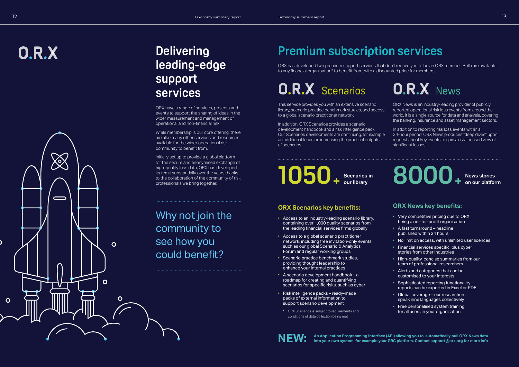# $0.R.X$



## **Delivering leading-edge support services**

ORX have a range of services, projects and events to support the sharing of ideas in the wider measurement and management of operational and non-financial risk.

While membership is our core offering, there are also many other services and resources available for the wider operational risk community to benefit from.

Initially set up to provide a global platform for the secure and anonymised exchange of high-quality loss data, ORX has developed its remit substantially over the years thanks to the collaboration of the community of risk professionals we bring together.

Why not join the community to see how you could benefit?

## **Premium subscription services**

In addition to reporting risk loss events within a 24-hour period, ORX News produces "deep dives" upon request about key events to gain a risk-focused view of significant losses.

ORX has developed two premium support services that don't require you to be an ORX member. Both are available to any financial organisation\* to benefit from, with a discounted price for members.

## **O.R.X** Scenarios

This service provides you with an extensive scenario library, scenario practice benchmark studies, and access to a global scenario practitioner network.

In addition, ORX Scenarios provides a scenario development handbook and a risk intelligence pack. Our Scenarios developments are continuing, for example an additional focus on increasing the practical outputs of scenarios.

ORX News is an industry-leading provider of publicly reported operational risk loss events from around the world. It is a single source for data and analysis, covering the banking, insurance and asset management sectors.

## **our library 8000 News stories + on our platform**

### **ORX Scenarios key benefits:**

### **ORX News key benefits:**

- Access to an industry-leading scenario library, containing over 1,000 quality scenarios from the leading financial services firms globally
- Access to a global scenario practitioner network, including free invitation-only events such as our global Scenario & Analytics Forum and regular working groups
- Scenario practice benchmark studies, providing thought leadership to enhance your internal practices
- A scenario development handbook a roadmap for creating and quantifying scenarios for specific risks, such as cyber
- Risk intelligence packs ready-made packs of external information to support scenario development
- \* ORX Scenarios is subject to requirements and conditions of data collection being met

An Application Programming Interface (API) allowing you to automatically pull ORX News data into your own system, for example your GRC platform. Contact support@orx.org for more info

## **O.R.X** News

- Very competitive pricing due to ORX being a not-for-profit organisation
- A fast turnaround headline published within 24 hours
- No limit on access, with unlimited user licences Financial services specific, plus cyber
- stories from other industries
- High-quality, concise summaries from our team of professional researchers
- Alerts and categories that can be customised to your interests
- Sophisticated reporting functionality reports can be exported in Excel or PDF
- Global coverage our researchers speak nine languages collectively
- Free personalised system training for all users in your organisation

**1050 Scenarios in +**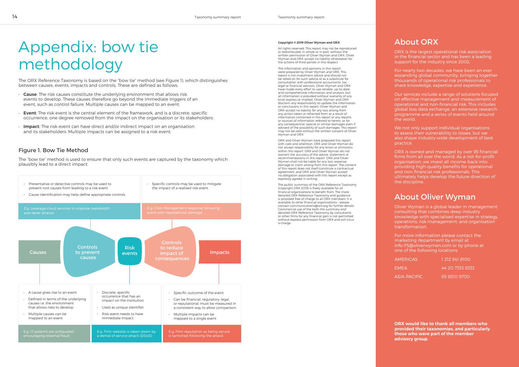## About ORX

ORX is the largest operational risk association in the financial sector and has been a leading support for the industry since 2002.

For nearly two decades, we have been an ever expanding global community, bringing together thousands of operational risk professionals to share knowledge, expertise and experience.

We not only support individual organisations to assess their vulnerability to losses, but we also shape industry-wide development of best practice.

Our services include a range of solutions focused on effective management and measurement of operational and non-financial risk. This includes global loss data exchange, an extensive research programme and a series of events held around the world.

ORX is owned and managed by over 95 financial firms from all over the world. As a not-for-profit organisation, we invest all income back into providing high-quality benefits for operational and non-financial risk professionals. This ultimately helps develop the future direction of the discipline.

## About Oliver Wyman

Oliver Wyman is a global leader in management consulting that combines deep industry knowledge with specialised expertise in strategy, operations, risk management, and organisation transformation.

For more information please contact the marketing department by email at info-FS@oliverwyman.com or by phone at one of the following locations:

AMERICAS 1 212 541 8100 EMEA 44 20 7333 8333 ASIA PACIFIC 65 6510 9700

# Appendix: bow tie methodology

The ORX Reference Taxonomy is based on the "bow tie" method (see Figure 1), which distinguishes between causes, events, impacts and controls. These are defined as follows:

- Cause: The risk causes constitute the underlying environment that allows risk events to develop. These causes therefore go beyond the immediate triggers of an event, such as control failure. Multiple causes can be mapped to an event.
- **Event:** The risk event is the central element of the framework, and is a discrete, specific occurrence, one degree removed from the impact on the organisation or its stakeholders.
- **Impact:** The risk event can have direct and/or indirect impact on an organisation and its stakeholders. Multiple impacts can be assigned to a risk event.

The public summary of the ORX Reference Taxonomy (copyright ORX 2019) is freely available for all financial organisations to benefit from. The more detailed ORX Reference Taxonomy and guidance is provided free of charge to all ORX members. It is available to other financial organisations – please contact communications@orx.org for further details. Commercial use of the both the summary and detailed ORX Reference Taxonomy by consultants or other firms for any financial gain is not permitted without express permission from ORX and will incur a charge.



#### Figure 1. Bow Tie Method

The "bow tie" method is used to ensure that only such events are captured by the taxonomy which plausibly lead to a direct impact.

#### Copyright © 2019 Oliver Wyman and ORX

All rights reserved. This report may not be reproduced or redistributed, in whole or in part, without the written permission of Oliver Wyman and ORX. Oliver Wyman and ORX accept no liability whatsoever for the actions of third parties in this respect.

The information and opinions in this report were prepared by Oliver Wyman and ORX. This report is not investment advice and should not be relied on for such advice or as a substitute for consultation with professional accountants, tax, legal or financial advisors. Oliver Wyman and ORX have made every effort to use reliable, up-to-date and comprehensive information and analysis, but all information is provided without warranty of any kind, express or implied. Oliver Wyman and ORX disclaim any responsibility to update the information or conclusions in this report. Oliver Wyman and ORX accept no liability for any loss arising from any action taken or refrained from as a result of information contained in this report or any reports or sources of information referred to herein, or for any consequential, special or similar damages even if advised of the possibility of such damages. This report may not be sold without the written consent of Oliver Wyman and ORX.

ORX and Oliver Wyman have prepared this report with care and attention. ORX and Oliver Wyman do not accept responsibility for any errors or omissions within this report. ORX and Oliver Wyman do not warrant the accuracy of the advice, statement or recommendations in this report. ORX and Oliver Wyman shall not be liable for any loss, expense, damage or claim arising from this report. The content of this report does not itself constitute a contractual agreement, and ORX and Oliver Wyman accept no obligation associated with this report except as expressly agreed in writing.

> ORX would like to thank all members who provided their taxonomies, and particularly those who were part of the member advisory group.